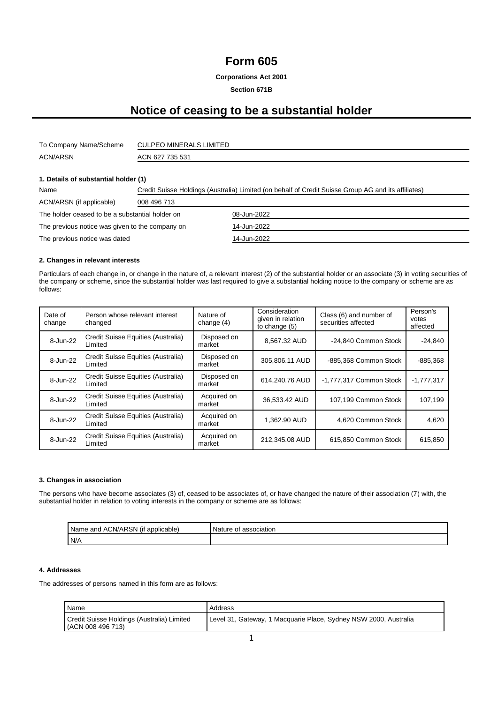### **Form 605**

**Corporations Act 2001**

**Section 671B**

## **Notice of ceasing to be a substantial holder**

| To Company Name/Scheme | <b>CULPEO MINERALS LIMITED</b> |
|------------------------|--------------------------------|
| <b>ACN/ARSN</b>        | ACN 627 735 531                |

### **1. Details of substantial holder (1)**

| Name                                            | Credit Suisse Holdings (Australia) Limited (on behalf of Credit Suisse Group AG and its affiliates) |             |  |
|-------------------------------------------------|-----------------------------------------------------------------------------------------------------|-------------|--|
| ACN/ARSN (if applicable)                        | 008 496 713                                                                                         |             |  |
| The holder ceased to be a substantial holder on |                                                                                                     | 08-Jun-2022 |  |
| The previous notice was given to the company on |                                                                                                     | 14-Jun-2022 |  |
| The previous notice was dated                   |                                                                                                     | 14-Jun-2022 |  |

### **2. Changes in relevant interests**

Particulars of each change in, or change in the nature of, a relevant interest (2) of the substantial holder or an associate (3) in voting securities of the company or scheme, since the substantial holder was last required to give a substantial holding notice to the company or scheme are as follows:

| Date of<br>change | Person whose relevant interest<br>changed     | Nature of<br>change $(4)$ | Consideration<br>given in relation<br>to change (5) | Class (6) and number of<br>securities affected | Person's<br>votes<br>affected |
|-------------------|-----------------------------------------------|---------------------------|-----------------------------------------------------|------------------------------------------------|-------------------------------|
| 8-Jun-22          | Credit Suisse Equities (Australia)<br>Limited | Disposed on<br>market     | 8.567.32 AUD                                        | -24,840 Common Stock                           | $-24,840$                     |
| 8-Jun-22          | Credit Suisse Equities (Australia)<br>Limited | Disposed on<br>market     | 305,806.11 AUD                                      | -885,368 Common Stock                          | $-885,368$                    |
| 8-Jun-22          | Credit Suisse Equities (Australia)<br>Limited | Disposed on<br>market     | 614.240.76 AUD                                      | -1,777,317 Common Stock                        | $-1.777.317$                  |
| 8-Jun-22          | Credit Suisse Equities (Australia)<br>Limited | Acquired on<br>market     | 36.533.42 AUD                                       | 107,199 Common Stock                           | 107.199                       |
| 8-Jun-22          | Credit Suisse Equities (Australia)<br>Limited | Acquired on<br>market     | 1.362.90 AUD                                        | 4.620 Common Stock                             | 4,620                         |
| 8-Jun-22          | Credit Suisse Equities (Australia)<br>Limited | Acquired on<br>market     | 212,345.08 AUD                                      | 615,850 Common Stock                           | 615,850                       |

#### **3. Changes in association**

The persons who have become associates (3) of, ceased to be associates of, or have changed the nature of their association (7) with, the substantial holder in relation to voting interests in the company or scheme are as follows:

| I ACN/ARSN<br>Name<br>applicable)<br>and<br>(It | Nature of<br>association |
|-------------------------------------------------|--------------------------|
| N/A                                             |                          |

#### **4. Addresses**

The addresses of persons named in this form are as follows:

| Name                                                            | Address                                                          |
|-----------------------------------------------------------------|------------------------------------------------------------------|
| Credit Suisse Holdings (Australia) Limited<br>(ACN 008 496 713) | Level 31, Gateway, 1 Macquarie Place, Sydney NSW 2000, Australia |